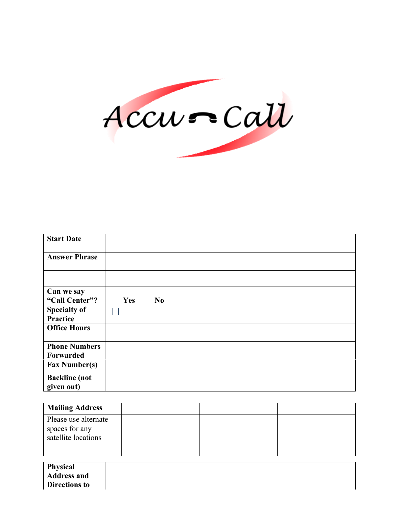

| <b>Start Date</b>    |                       |
|----------------------|-----------------------|
| <b>Answer Phrase</b> |                       |
|                      |                       |
| Can we say           |                       |
| "Call Center"?       | Yes<br>N <sub>0</sub> |
| <b>Specialty of</b>  |                       |
| <b>Practice</b>      |                       |
| <b>Office Hours</b>  |                       |
|                      |                       |
| <b>Phone Numbers</b> |                       |
| Forwarded            |                       |
| <b>Fax Number(s)</b> |                       |
| <b>Backline</b> (not |                       |
| given out)           |                       |

| <b>Mailing Address</b>                                        |  |  |
|---------------------------------------------------------------|--|--|
| Please use alternate<br>spaces for any<br>satellite locations |  |  |

**Physical Address and Directions to**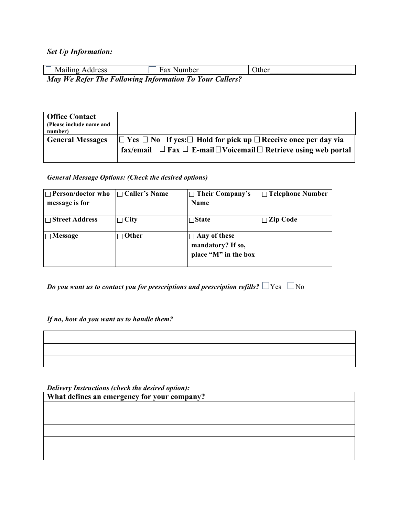### *Set Up Information:*

| $\Box$ Mailing Address                                  | Fax Number | Other |
|---------------------------------------------------------|------------|-------|
| May We Refer The Following Information To Your Callers? |            |       |

| <b>Office Contact</b><br>(Please include name and<br>number) |                                                                                                                                                                               |
|--------------------------------------------------------------|-------------------------------------------------------------------------------------------------------------------------------------------------------------------------------|
| <b>General Messages</b>                                      | $ \Box$ Yes $\Box$ No If yes: $\Box$ Hold for pick up $\Box$ Receive once per day via<br>fax/email $\Box$ Fax $\Box$ E-mail $\Box$ Voicemail $\Box$ Retrieve using web portal |

### *General Message Options: (Check the desired options)*

| $\Box$ Person/doctor who | $\Box$ Caller's Name | $\Box$ Their Company's | $\Box$ Telephone Number |
|--------------------------|----------------------|------------------------|-------------------------|
| message is for           |                      | <b>Name</b>            |                         |
| $\Box$ Street Address    | $\Box$ City          | $\square$ State        | $\Box$ Zip Code         |
| $\Box$ Message           | $\neg$ Other         | $\Box$ Any of these    |                         |
|                          |                      | mandatory? If so,      |                         |
|                          |                      | place "M" in the box   |                         |

*Do you want us to contact you for prescriptions and prescription refills?*  $\Box$  Yes  $\Box$  No

*If no, how do you want us to handle them?*

*Delivery Instructions (check the desired option):*

**What defines an emergency for your company?**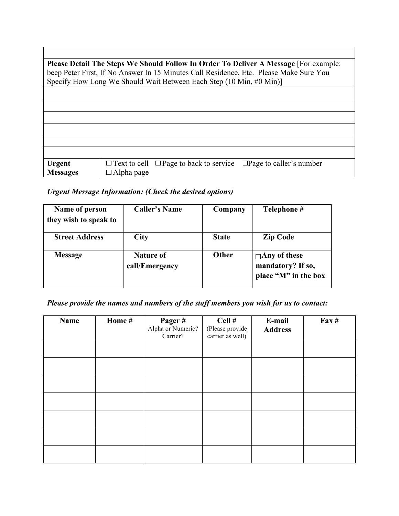| Please Detail The Steps We Should Follow In Order To Deliver A Message [For example: |                                                                                        |  |  |  |
|--------------------------------------------------------------------------------------|----------------------------------------------------------------------------------------|--|--|--|
|                                                                                      | beep Peter First, If No Answer In 15 Minutes Call Residence, Etc. Please Make Sure You |  |  |  |
|                                                                                      |                                                                                        |  |  |  |
|                                                                                      | Specify How Long We Should Wait Between Each Step (10 Min, #0 Min)]                    |  |  |  |
|                                                                                      |                                                                                        |  |  |  |
|                                                                                      |                                                                                        |  |  |  |
|                                                                                      |                                                                                        |  |  |  |
|                                                                                      |                                                                                        |  |  |  |
|                                                                                      |                                                                                        |  |  |  |
|                                                                                      |                                                                                        |  |  |  |
|                                                                                      |                                                                                        |  |  |  |
|                                                                                      |                                                                                        |  |  |  |
|                                                                                      |                                                                                        |  |  |  |
|                                                                                      |                                                                                        |  |  |  |
|                                                                                      |                                                                                        |  |  |  |
|                                                                                      |                                                                                        |  |  |  |
| <b>Urgent</b>                                                                        | $\Box$ Page to caller's number<br>$\Box$ Text to cell $\Box$ Page to back to service   |  |  |  |
|                                                                                      |                                                                                        |  |  |  |
| <b>Messages</b>                                                                      | $\Box$ Alpha page                                                                      |  |  |  |

1

# *Urgent Message Information: (Check the desired options)*

Г

| Name of person        | <b>Caller's Name</b>        | Company      | Telephone #                                                      |
|-----------------------|-----------------------------|--------------|------------------------------------------------------------------|
| they wish to speak to |                             |              |                                                                  |
| <b>Street Address</b> | City                        | <b>State</b> | <b>Zip Code</b>                                                  |
| <b>Message</b>        | Nature of<br>call/Emergency | <b>Other</b> | $\Box$ Any of these<br>mandatory? If so,<br>place "M" in the box |

## *Please provide the names and numbers of the staff members you wish for us to contact:*

| Name | Home # | Pager#<br>Alpha or Numeric?<br>Carrier? | Cell#<br>(Please provide<br>carrier as well) | E-mail<br><b>Address</b> | $\textbf{Fax} \#$ |
|------|--------|-----------------------------------------|----------------------------------------------|--------------------------|-------------------|
|      |        |                                         |                                              |                          |                   |
|      |        |                                         |                                              |                          |                   |
|      |        |                                         |                                              |                          |                   |
|      |        |                                         |                                              |                          |                   |
|      |        |                                         |                                              |                          |                   |
|      |        |                                         |                                              |                          |                   |